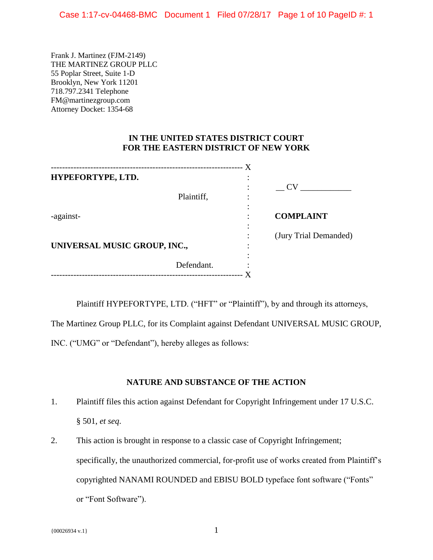Frank J. Martinez (FJM-2149) THE MARTINEZ GROUP PLLC 55 Poplar Street, Suite 1-D Brooklyn, New York 11201 718.797.2341 Telephone FM@martinezgroup.com Attorney Docket: 1354-68

## **IN THE UNITED STATES DISTRICT COURT FOR THE EASTERN DISTRICT OF NEW YORK**

| X<br>------------------------------- |            |                |                       |
|--------------------------------------|------------|----------------|-----------------------|
| HYPEFORTYPE, LTD.                    |            | ٠<br>$\bullet$ |                       |
|                                      |            |                | <b>CV</b>             |
|                                      | Plaintiff, |                |                       |
|                                      |            |                |                       |
| -against-                            |            | ٠              | <b>COMPLAINT</b>      |
|                                      |            |                |                       |
|                                      |            |                | (Jury Trial Demanded) |
| UNIVERSAL MUSIC GROUP, INC.,         |            |                |                       |
|                                      |            | $\bullet$      |                       |
|                                      | Defendant. |                |                       |
|                                      |            |                |                       |

Plaintiff HYPEFORTYPE, LTD. ("HFT" or "Plaintiff"), by and through its attorneys,

The Martinez Group PLLC, for its Complaint against Defendant UNIVERSAL MUSIC GROUP,

INC. ("UMG" or "Defendant"), hereby alleges as follows:

# **NATURE AND SUBSTANCE OF THE ACTION**

- 1. Plaintiff files this action against Defendant for Copyright Infringement under 17 U.S.C. § 501, *et seq*.
- 2. This action is brought in response to a classic case of Copyright Infringement; specifically, the unauthorized commercial, for-profit use of works created from Plaintiff's copyrighted NANAMI ROUNDED and EBISU BOLD typeface font software ("Fonts" or "Font Software").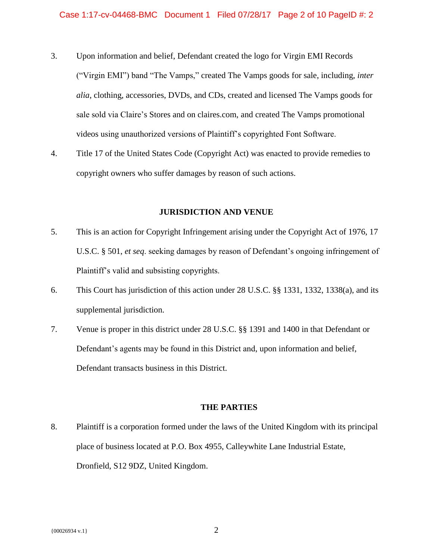- 3. Upon information and belief, Defendant created the logo for Virgin EMI Records ("Virgin EMI") band "The Vamps," created The Vamps goods for sale, including, *inter alia*, clothing, accessories, DVDs, and CDs, created and licensed The Vamps goods for sale sold via Claire's Stores and on claires.com, and created The Vamps promotional videos using unauthorized versions of Plaintiff's copyrighted Font Software.
- 4. Title 17 of the United States Code (Copyright Act) was enacted to provide remedies to copyright owners who suffer damages by reason of such actions.

## **JURISDICTION AND VENUE**

- 5. This is an action for Copyright Infringement arising under the Copyright Act of 1976, 17 U.S.C. § 501, *et seq*. seeking damages by reason of Defendant's ongoing infringement of Plaintiff's valid and subsisting copyrights.
- 6. This Court has jurisdiction of this action under 28 U.S.C. §§ 1331, 1332, 1338(a), and its supplemental jurisdiction.
- 7. Venue is proper in this district under 28 U.S.C. §§ 1391 and 1400 in that Defendant or Defendant's agents may be found in this District and, upon information and belief, Defendant transacts business in this District.

## **THE PARTIES**

8. Plaintiff is a corporation formed under the laws of the United Kingdom with its principal place of business located at P.O. Box 4955, Calleywhite Lane Industrial Estate, Dronfield, S12 9DZ, United Kingdom.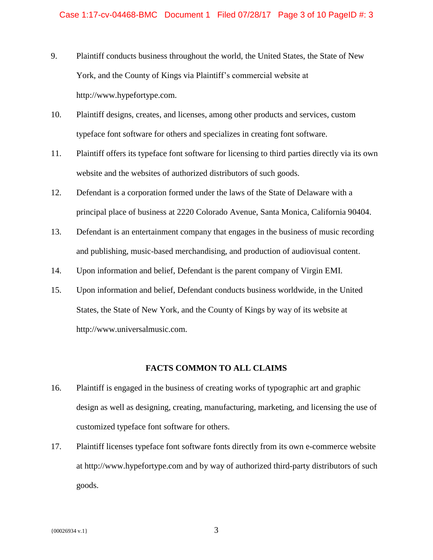- 9. Plaintiff conducts business throughout the world, the United States, the State of New York, and the County of Kings via Plaintiff's commercial website at http://www.hypefortype.com.
- 10. Plaintiff designs, creates, and licenses, among other products and services, custom typeface font software for others and specializes in creating font software.
- 11. Plaintiff offers its typeface font software for licensing to third parties directly via its own website and the websites of authorized distributors of such goods.
- 12. Defendant is a corporation formed under the laws of the State of Delaware with a principal place of business at 2220 Colorado Avenue, Santa Monica, California 90404.
- 13. Defendant is an entertainment company that engages in the business of music recording and publishing, music-based merchandising, and production of audiovisual content.
- 14. Upon information and belief, Defendant is the parent company of Virgin EMI.
- 15. Upon information and belief, Defendant conducts business worldwide, in the United States, the State of New York, and the County of Kings by way of its website at http://www.universalmusic.com.

#### **FACTS COMMON TO ALL CLAIMS**

- 16. Plaintiff is engaged in the business of creating works of typographic art and graphic design as well as designing, creating, manufacturing, marketing, and licensing the use of customized typeface font software for others.
- 17. Plaintiff licenses typeface font software fonts directly from its own e-commerce website at http://www.hypefortype.com and by way of authorized third-party distributors of such goods.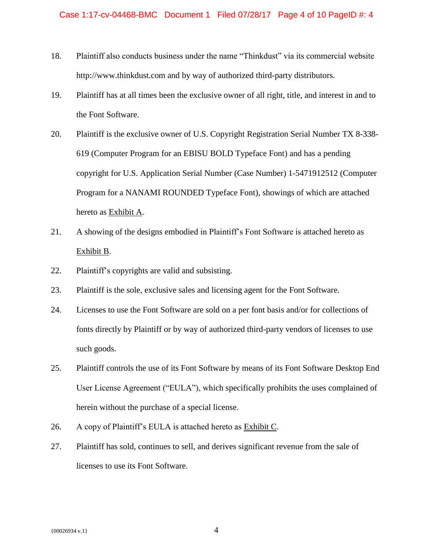- 18. Plaintiff also conducts business under the name "Thinkdust" via its commercial website http://www.thinkdust.com and by way of authorized third-party distributors.
- 19. Plaintiff has at all times been the exclusive owner of all right, title, and interest in and to the Font Software.
- 20. Plaintiff is the exclusive owner of U.S. Copyright Registration Serial Number TX 8-338- 619 (Computer Program for an EBISU BOLD Typeface Font) and has a pending copyright for U.S. Application Serial Number (Case Number) 1-5471912512 (Computer Program for a NANAMI ROUNDED Typeface Font), showings of which are attached hereto as Exhibit A.
- 21. A showing of the designs embodied in Plaintiff's Font Software is attached hereto as Exhibit B.
- 22. Plaintiff's copyrights are valid and subsisting.
- 23. Plaintiff is the sole, exclusive sales and licensing agent for the Font Software.
- 24. Licenses to use the Font Software are sold on a per font basis and/or for collections of fonts directly by Plaintiff or by way of authorized third-party vendors of licenses to use such goods.
- 25. Plaintiff controls the use of its Font Software by means of its Font Software Desktop End User License Agreement ("EULA"), which specifically prohibits the uses complained of herein without the purchase of a special license.
- 26. A copy of Plaintiff's EULA is attached hereto as Exhibit C.
- 27. Plaintiff has sold, continues to sell, and derives significant revenue from the sale of licenses to use its Font Software.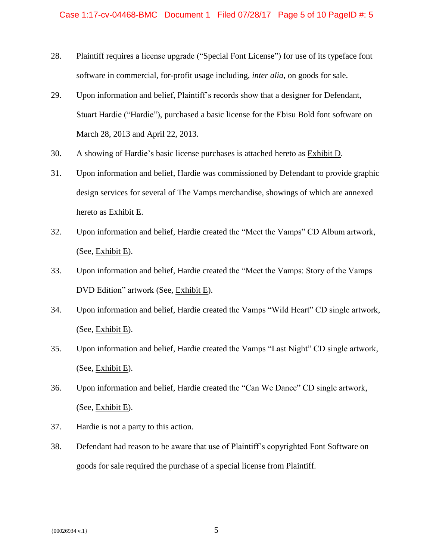- 28. Plaintiff requires a license upgrade ("Special Font License") for use of its typeface font software in commercial, for-profit usage including, *inter alia*, on goods for sale.
- 29. Upon information and belief, Plaintiff's records show that a designer for Defendant, Stuart Hardie ("Hardie"), purchased a basic license for the Ebisu Bold font software on March 28, 2013 and April 22, 2013.
- 30. A showing of Hardie's basic license purchases is attached hereto as Exhibit D.
- 31. Upon information and belief, Hardie was commissioned by Defendant to provide graphic design services for several of The Vamps merchandise, showings of which are annexed hereto as Exhibit E.
- 32. Upon information and belief, Hardie created the "Meet the Vamps" CD Album artwork, (See, Exhibit E).
- 33. Upon information and belief, Hardie created the "Meet the Vamps: Story of the Vamps DVD Edition" artwork (See, Exhibit E).
- 34. Upon information and belief, Hardie created the Vamps "Wild Heart" CD single artwork, (See, Exhibit E).
- 35. Upon information and belief, Hardie created the Vamps "Last Night" CD single artwork, (See, Exhibit E).
- 36. Upon information and belief, Hardie created the "Can We Dance" CD single artwork, (See, Exhibit E).
- 37. Hardie is not a party to this action.
- 38. Defendant had reason to be aware that use of Plaintiff's copyrighted Font Software on goods for sale required the purchase of a special license from Plaintiff.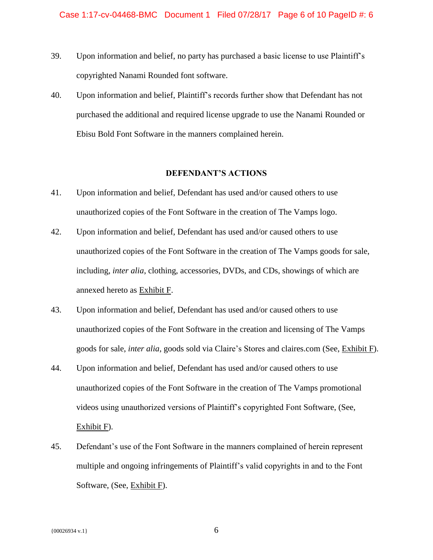- 39. Upon information and belief, no party has purchased a basic license to use Plaintiff's copyrighted Nanami Rounded font software.
- 40. Upon information and belief, Plaintiff's records further show that Defendant has not purchased the additional and required license upgrade to use the Nanami Rounded or Ebisu Bold Font Software in the manners complained herein.

## **DEFENDANT'S ACTIONS**

- 41. Upon information and belief, Defendant has used and/or caused others to use unauthorized copies of the Font Software in the creation of The Vamps logo.
- 42. Upon information and belief, Defendant has used and/or caused others to use unauthorized copies of the Font Software in the creation of The Vamps goods for sale, including, *inter alia*, clothing, accessories, DVDs, and CDs, showings of which are annexed hereto as Exhibit F.
- 43. Upon information and belief, Defendant has used and/or caused others to use unauthorized copies of the Font Software in the creation and licensing of The Vamps goods for sale, *inter alia*, goods sold via Claire's Stores and claires.com (See, Exhibit F).
- 44. Upon information and belief, Defendant has used and/or caused others to use unauthorized copies of the Font Software in the creation of The Vamps promotional videos using unauthorized versions of Plaintiff's copyrighted Font Software, (See, Exhibit F).
- 45. Defendant's use of the Font Software in the manners complained of herein represent multiple and ongoing infringements of Plaintiff's valid copyrights in and to the Font Software, (See, Exhibit F).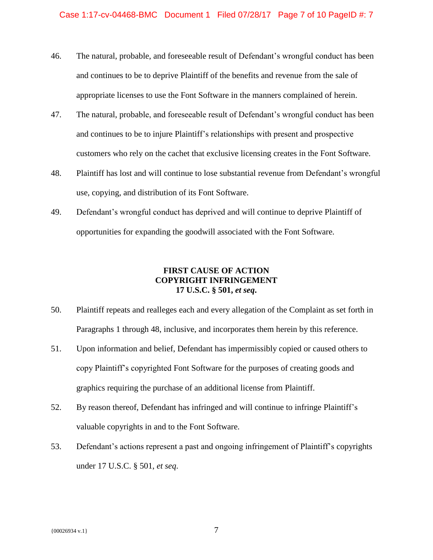- 46. The natural, probable, and foreseeable result of Defendant's wrongful conduct has been and continues to be to deprive Plaintiff of the benefits and revenue from the sale of appropriate licenses to use the Font Software in the manners complained of herein.
- 47. The natural, probable, and foreseeable result of Defendant's wrongful conduct has been and continues to be to injure Plaintiff's relationships with present and prospective customers who rely on the cachet that exclusive licensing creates in the Font Software.
- 48. Plaintiff has lost and will continue to lose substantial revenue from Defendant's wrongful use, copying, and distribution of its Font Software.
- 49. Defendant's wrongful conduct has deprived and will continue to deprive Plaintiff of opportunities for expanding the goodwill associated with the Font Software.

# **FIRST CAUSE OF ACTION COPYRIGHT INFRINGEMENT 17 U.S.C. § 501,** *et seq***.**

- 50. Plaintiff repeats and realleges each and every allegation of the Complaint as set forth in Paragraphs 1 through 48, inclusive, and incorporates them herein by this reference.
- 51. Upon information and belief, Defendant has impermissibly copied or caused others to copy Plaintiff's copyrighted Font Software for the purposes of creating goods and graphics requiring the purchase of an additional license from Plaintiff.
- 52. By reason thereof, Defendant has infringed and will continue to infringe Plaintiff's valuable copyrights in and to the Font Software.
- 53. Defendant's actions represent a past and ongoing infringement of Plaintiff's copyrights under 17 U.S.C. § 501, *et seq*.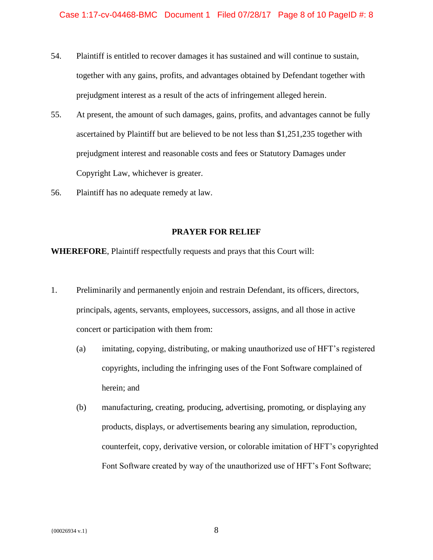- 54. Plaintiff is entitled to recover damages it has sustained and will continue to sustain, together with any gains, profits, and advantages obtained by Defendant together with prejudgment interest as a result of the acts of infringement alleged herein.
- 55. At present, the amount of such damages, gains, profits, and advantages cannot be fully ascertained by Plaintiff but are believed to be not less than \$1,251,235 together with prejudgment interest and reasonable costs and fees or Statutory Damages under Copyright Law, whichever is greater.
- 56. Plaintiff has no adequate remedy at law.

### **PRAYER FOR RELIEF**

**WHEREFORE**, Plaintiff respectfully requests and prays that this Court will:

- 1. Preliminarily and permanently enjoin and restrain Defendant, its officers, directors, principals, agents, servants, employees, successors, assigns, and all those in active concert or participation with them from:
	- (a) imitating, copying, distributing, or making unauthorized use of HFT's registered copyrights, including the infringing uses of the Font Software complained of herein; and
	- (b) manufacturing, creating, producing, advertising, promoting, or displaying any products, displays, or advertisements bearing any simulation, reproduction, counterfeit, copy, derivative version, or colorable imitation of HFT's copyrighted Font Software created by way of the unauthorized use of HFT's Font Software;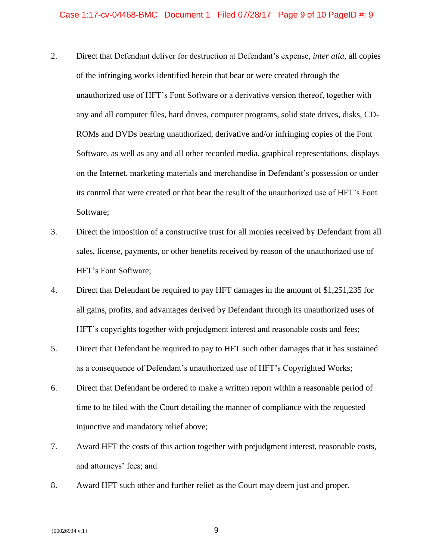- 2. Direct that Defendant deliver for destruction at Defendant's expense, *inter alia*, all copies of the infringing works identified herein that bear or were created through the unauthorized use of HFT's Font Software or a derivative version thereof, together with any and all computer files, hard drives, computer programs, solid state drives, disks, CD-ROMs and DVDs bearing unauthorized, derivative and/or infringing copies of the Font Software, as well as any and all other recorded media, graphical representations, displays on the Internet, marketing materials and merchandise in Defendant's possession or under its control that were created or that bear the result of the unauthorized use of HFT's Font Software;
- 3. Direct the imposition of a constructive trust for all monies received by Defendant from all sales, license, payments, or other benefits received by reason of the unauthorized use of HFT's Font Software;
- 4. Direct that Defendant be required to pay HFT damages in the amount of \$1,251,235 for all gains, profits, and advantages derived by Defendant through its unauthorized uses of HFT's copyrights together with prejudgment interest and reasonable costs and fees;
- 5. Direct that Defendant be required to pay to HFT such other damages that it has sustained as a consequence of Defendant's unauthorized use of HFT's Copyrighted Works;
- 6. Direct that Defendant be ordered to make a written report within a reasonable period of time to be filed with the Court detailing the manner of compliance with the requested injunctive and mandatory relief above;
- 7. Award HFT the costs of this action together with prejudgment interest, reasonable costs, and attorneys' fees; and
- 8. Award HFT such other and further relief as the Court may deem just and proper.